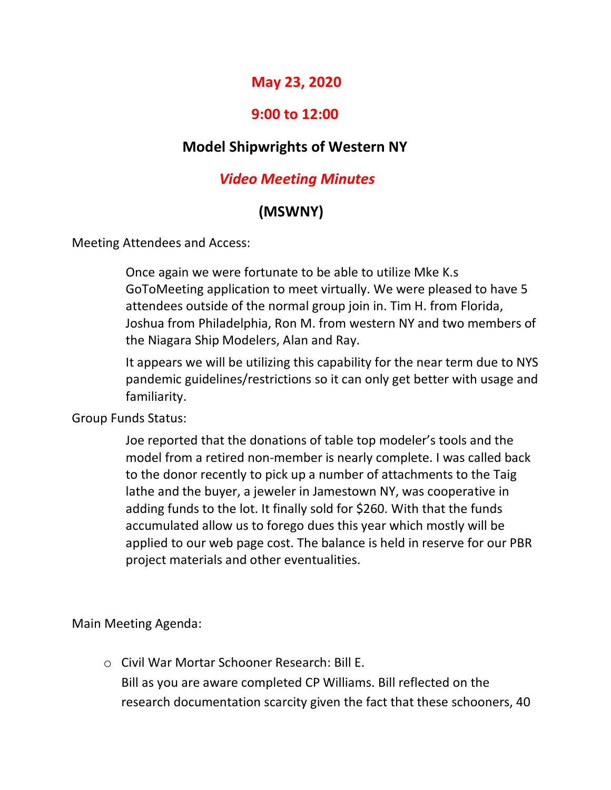## **May 23, 2020**

## **9:00 to 12:00**

## **Model Shipwrights of Western NY**

## *Video Meeting Minutes*

# **(MSWNY)**

Meeting Attendees and Access:

Once again we were fortunate to be able to utilize Mke K.s GoToMeeting application to meet virtually. We were pleased to have 5 attendees outside of the normal group join in. Tim H. from Florida, Joshua from Philadelphia, Ron M. from western NY and two members of the Niagara Ship Modelers, Alan and Ray.

It appears we will be utilizing this capability for the near term due to NYS pandemic guidelines/restrictions so it can only get better with usage and familiarity.

Group Funds Status:

Joe reported that the donations of table top modeler's tools and the model from a retired non-member is nearly complete. I was called back to the donor recently to pick up a number of attachments to the Taig lathe and the buyer, a jeweler in Jamestown NY, was cooperative in adding funds to the lot. It finally sold for \$260. With that the funds accumulated allow us to forego dues this year which mostly will be applied to our web page cost. The balance is held in reserve for our PBR project materials and other eventualities.

Main Meeting Agenda:

o Civil War Mortar Schooner Research: Bill E. Bill as you are aware completed CP Williams. Bill reflected on the research documentation scarcity given the fact that these schooners, 40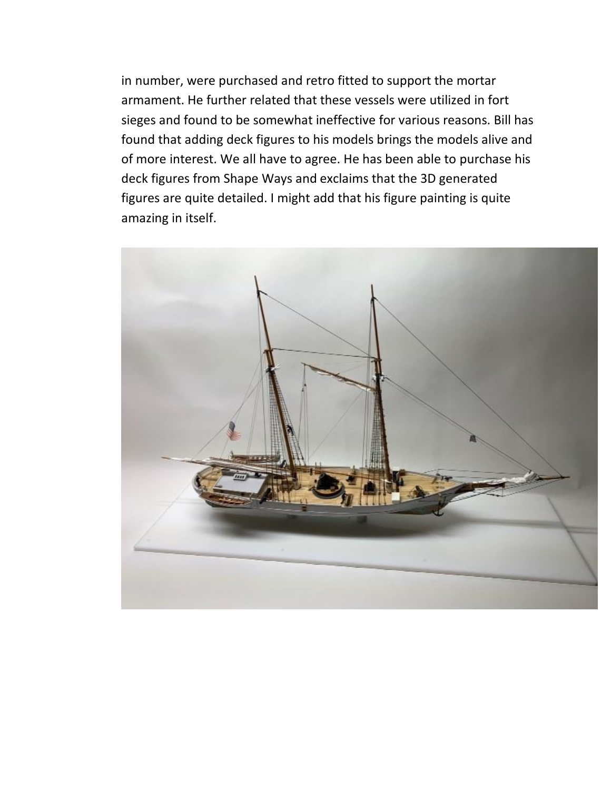in number, were purchased and retro fitted to support the mortar armament. He further related that these vessels were utilized in fort sieges and found to be somewhat ineffective for various reasons. Bill has found that adding deck figures to his models brings the models alive and of more interest. We all have to agree. He has been able to purchase his deck figures from Shape Ways and exclaims that the 3D generated figures are quite detailed. I might add that his figure painting is quite amazing in itself.

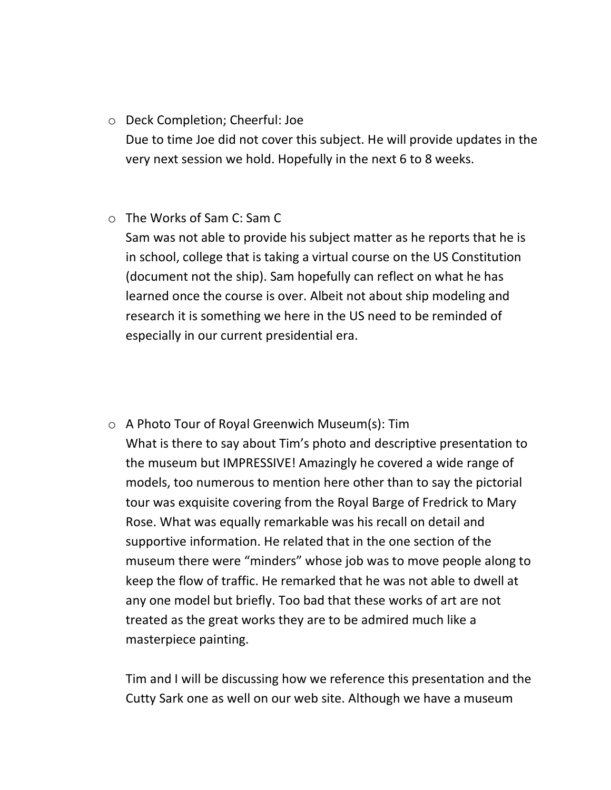#### o Deck Completion; Cheerful: Joe

Due to time Joe did not cover this subject. He will provide updates in the very next session we hold. Hopefully in the next 6 to 8 weeks.

#### o The Works of Sam C: Sam C

Sam was not able to provide his subject matter as he reports that he is in school, college that is taking a virtual course on the US Constitution (document not the ship). Sam hopefully can reflect on what he has learned once the course is over. Albeit not about ship modeling and research it is something we here in the US need to be reminded of especially in our current presidential era.

o A Photo Tour of Royal Greenwich Museum(s): Tim What is there to say about Tim's photo and descriptive presentation to the museum but IMPRESSIVE! Amazingly he covered a wide range of models, too numerous to mention here other than to say the pictorial tour was exquisite covering from the Royal Barge of Fredrick to Mary Rose. What was equally remarkable was his recall on detail and supportive information. He related that in the one section of the museum there were "minders" whose job was to move people along to keep the flow of traffic. He remarked that he was not able to dwell at any one model but briefly. Too bad that these works of art are not treated as the great works they are to be admired much like a masterpiece painting.

Tim and I will be discussing how we reference this presentation and the Cutty Sark one as well on our web site. Although we have a museum